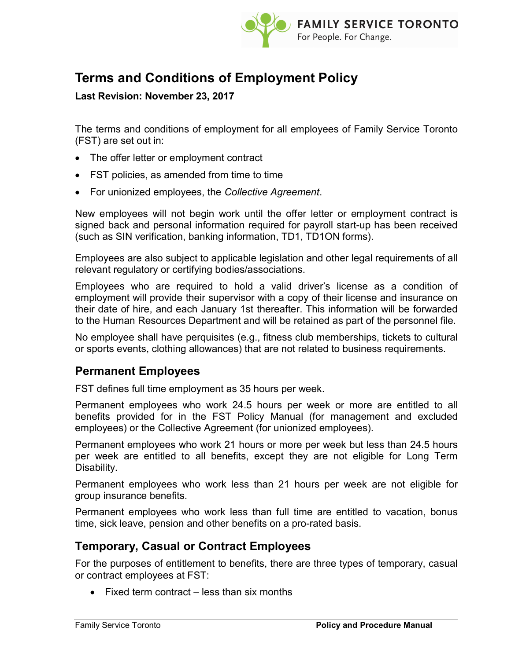

# Terms and Conditions of Employment Policy

### Last Revision: November 23, 2017

The terms and conditions of employment for all employees of Family Service Toronto (FST) are set out in:

- The offer letter or employment contract
- FST policies, as amended from time to time
- For unionized employees, the Collective Agreement.

New employees will not begin work until the offer letter or employment contract is signed back and personal information required for payroll start-up has been received (such as SIN verification, banking information, TD1, TD1ON forms).

Employees are also subject to applicable legislation and other legal requirements of all relevant regulatory or certifying bodies/associations.

Employees who are required to hold a valid driver's license as a condition of employment will provide their supervisor with a copy of their license and insurance on their date of hire, and each January 1st thereafter. This information will be forwarded to the Human Resources Department and will be retained as part of the personnel file.

No employee shall have perquisites (e.g., fitness club memberships, tickets to cultural or sports events, clothing allowances) that are not related to business requirements.

## Permanent Employees

FST defines full time employment as 35 hours per week.

Permanent employees who work 24.5 hours per week or more are entitled to all benefits provided for in the FST Policy Manual (for management and excluded employees) or the Collective Agreement (for unionized employees).

Permanent employees who work 21 hours or more per week but less than 24.5 hours per week are entitled to all benefits, except they are not eligible for Long Term Disability.

Permanent employees who work less than 21 hours per week are not eligible for group insurance benefits.

Permanent employees who work less than full time are entitled to vacation, bonus time, sick leave, pension and other benefits on a pro-rated basis.

## Temporary, Casual or Contract Employees

For the purposes of entitlement to benefits, there are three types of temporary, casual or contract employees at FST:

 $\bullet$  Fixed term contract – less than six months